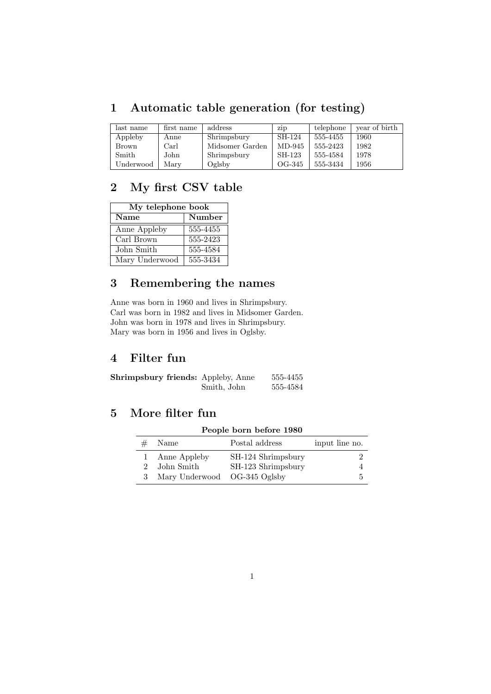## 1 Automatic table generation (for testing)

| last name    | first name | address         | <b>ZID</b> | telephone | year of birth |
|--------------|------------|-----------------|------------|-----------|---------------|
| Appleby      | Anne       | Shrimpsbury     | SH-124     | 555-4455  | 1960          |
| <b>Brown</b> | Carl       | Midsomer Garden | MD-945     | 555-2423  | 1982          |
| Smith        | John       | Shrimpsbury     | SH-123     | 555-4584  | 1978          |
| Underwood    | Mary       | Oglsby          | OG-345     | 555-3434  | 1956          |

### 2 My first CSV table

| My telephone book |          |  |
|-------------------|----------|--|
| <b>Name</b>       | Number   |  |
| Anne Appleby      | 555-4455 |  |
| Carl Brown        | 555-2423 |  |
| John Smith        | 555-4584 |  |
| Mary Underwood    | 555-3434 |  |

### 3 Remembering the names

Anne was born in 1960 and lives in Shrimpsbury. Carl was born in 1982 and lives in Midsomer Garden. John was born in 1978 and lives in Shrimpsbury. Mary was born in 1956 and lives in Oglsby.

#### 4 Filter fun

Shrimpsbury friends: Appleby, Anne 555-4455 Smith, John 555-4584

### 5 More filter fun

#### People born before 1980

| Name                         | Postal address     | input line no. |
|------------------------------|--------------------|----------------|
| Anne Appleby                 | SH-124 Shrimpsbury |                |
| John Smith                   | SH-123 Shrimpsbury |                |
| Mary Underwood OG-345 Oglsby |                    | 5              |